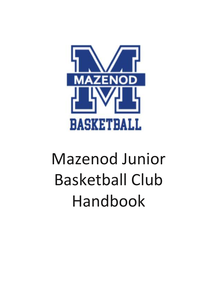

# Mazenod Junior Basketball Club Handbook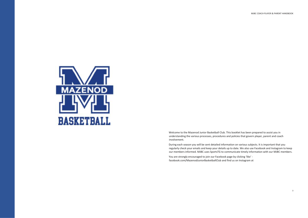

Welcome to the Mazenod Junior Basketball Club. This booklet has been prepared to assist you in understanding the various processes, procedures and policies that govern player, parent and coach involvement.

You are strongly encouraged to join our Facebook page by clicking 'like' facebook.com/MazenodJuniorBasketballClub and find us on Instagram at

During each season you will be sent detailed information on various subjects. It is important that you regularly check your emails and keep your details up to date. We also use Facebook and Instagram to keep our members informed. MJBC uses SportsTG to communicate timely information with our MJBC members.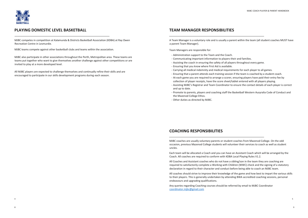

#### **PLAYING DOMESTIC LEVEL BASKETBALL**

MJBC competes in competition at Kalamunda & Districts Basketball Association (KDBA) at Ray Owen Recreation Centre in Lesmurdie.

MJBC teams compete against other basketball clubs and teams within the association.

MJBC also participate in other associations throughout the Perth, Metropolitan area. These teams are teams put together who want to give themselves another challenge against other competitions or are invited to play at a more developed level.

All MJBC players are expected to challenge themselves and continually refine their skills and are encouraged to participate in our skills development programs during each season.

#### **TEAM MANAGER RESPONSIBILITIES**

A Team Manager is a voluntary role and is usually a parent within the team (all student coaches MUST have a parent Team Manager).

Team Managers are responsible for:

- Administration support to the Team and the Coach.
- Communicating important information to players their and families.
- Assisting the coach in ensuring the safety of all players throughout every game.
- Ensuring that you know where First Aid is available.
- Carrying all medical indemnity and medical requirements for each player to all games.
- Ensuring that a parent attends each training session if the team is coached by a student coach.
- At each game you are required to arrange a scorer, ensuring players have paid their entry fee by collection of player receipts, have the score sheet/tablet entered with all players playing.
- Assisting MJBC's Registrar and Team Coordinator to ensure the contact details of each player is correct and up to date.
- Promote to parents, players and coaching staff the Basketball Western Ausyralia Code of Conduct and the Mazenod College Ethos.
- Other duties as directed by MJBC.

#### **COACHING RESPONSIBILITIES**

MJBC coaches are usually voluntary parents or student coaches from Mazenod College. On the odd occasion, previous Mazenod College students will volunteer their services to coach as well as student uncles.

Each team will be allocated a Coach and you can have an Assistant Coach which will be arranged by the Coach. All coaches are required to conform with KDBA Local Playing Rules V1.2.

All Coaches and Assistant coaches who do not have a sibling/son in the team they are coaching are required to satisfactorily complete a Working with Children (WWC) check and the signing of a statutory declaration in regard to their character and conduct before being able to coach an MJBC team.

All coaches should strive to improve their knowledge of the game and how best to impart the various skills to their players. This is generally undertaken by attending BWA accredited coaching sessions, personal endeavours and upgrading qualifications.

Any queries regarding Coaching courses should be referred by email to MJBC Coordinator [coordinator.mjbc@gmail.com](mailto:coordinator.mjbc@gmail.com)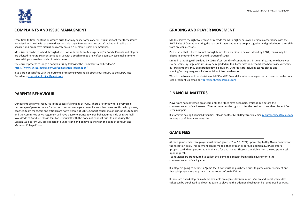

#### **COMPLAINTS AND ISSUE MANAGMENT**

From time to time, contentious issues arise that may cause some concern. It is important that these issues are raised and dealt with at the earliest possible stage. Parents must respect Coaches and realise that sensible and productive discussions rarely occur if a person is upset or emotional.

Most issues can be resolved through discussion with the Team Manager and/or Coach. Parents and players are advised to not raise a contentious issue with a coach immediately after a game. Please make time to meet with your coach outside of match times.

The correct process to lodge a complaint is by following the 'Complaints and Feedback' <https://www.sunsbasketball.com.au/competition-information/>

If you are not satisfied with the outcome or response you should direct your inquiry to the MJBC Vice President – [vppresident.mjbc@gmail.com](mailto:vppresident.mjbc@gmail.com)

#### **PARENTS BEHAVIOUR**

Our parents are a vital resource in the successful running of MJBC. There are times where a very small percentage of parents create friction and tension amongst a team. Parents that cause conflict with players, coaches, team managers and officials are not welcome at MJBC. Conflict causes major disruptions to teams and the Committee of Management will have a zero tolerance towards behaviour outside of Basketball WA's Code of Conduct. Please familiarise yourself with the Codes of Conduct prior to and during the Season. As a parent you are expected to understand and behave in line with the code of conduct and Mazenod College Ethos.

#### **GRADING AND PLAYER MOVEMENT**

MJBC reserves the right to remove or regrade teams to higher or lower division in accordance with the BWA Rules of Operation during the season. Players and teams are put together and graded upon their skills from previous seasons.

Please note that if there are not enough teams for a division to be considered by KDBA, teams may be placed in another division at the discretion of KDBA.

Limited re-grading will be done by KDBA after round 4 of competitions. In general, teams who have won every game by large amounts may be regraded up to a higher division. Teams who have lost every game by large amounts may be regraded down a division. Other factors including teams played and winning/loosing margins will also be taken into consideration.

We ask you to respect the decision of MJBC and KDBA and if you have any queries or concerns contact our Vice President via email on [vppresident.mjbc@gmail.com](mailto:vppresident.mjbc@gmail.com)

#### **FINANCIAL MATTERS**

Players are not confirmed on a team until their fees have been paid, which is due before the commencement of each season. The club reserves the right to offer the position to another player if fees remain unpaid.

If a family is having financial difficulties, please contact MJBC Registrar via email [registrar.mjbc@gmail.com](mailto:registrar.mjbc@gmail.com) to have a confidential conversation.

#### **GAME FEES**

At each game, each team player must pay a "game fee" of \$8 (2021) upon entry to Ray Owen Complex at the reception desk. This payment can be made either by cash or card. In addition, KDBA do offer a 'prepaid card' that operates as a debit card for each game. These are available from the reception desk upon request.

Team Managers are required to collect the 'game fee' receipt from each player prior to the commencement of each game.

If a player is going to be late, a 'game fee' ticket must be purchased prior to game commencement and that said player must be playing on the court before half time.

If there are only 4 players in a team available on a game day (minimum is 5), an additional 'game day' ticket can be purchased to allow the team to play and this additional ticket can be reimbursed by MJBC.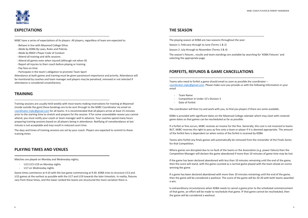

#### **EXPECTATIONS**

MJBC have a series of expectations of its players. All players, regardless of team are expected to:

- Behave in line with Mazenod College Ethos
- Abide by KDBA By Laws, Rules and Policies
- Abide by BWA's Player Code of Conduct
- Attend all training and skills sessions
- Attend all games even when injured (although not when ill)
- Report all injuries to their coach before playing or training
- Pay fees on time
- Participate in the team's obligation to promote Team Sport

Attendance at both games and training must be given paramount importance and priority. Attendance will be monitored by coaches and team manager and players may be penalised, removed or not selected if attendance is considered unsatisfactory.

#### **TRAINING**

- U13 U15 U19 on Monday nights
- U17 on Wednesday nights

Training sessions are usually held weekly with most teams making reservations for training at Mazenod (inside outside the gym) these bookings are to be sent through to the MJBC Coordinator via email on [coordinator.mjbc@gmail.com](mailto:coordinator.mjbc@gmail.com) for all teams. It is recommended that all players arrive at least 15 minutes prior to the starting time to stretch and prepare for the session. If for some unavoidable reason you cannot attend, you must notify your coach or team manager well in advance. Your coaches spend many hours preparing training sessions based on all players being in attendance. Notifying of nonattendance at last minute is not acceptable and may result in reduced court time.

- Team Name
- Competition ie Under 15's Division 3
- Date of Forfeit

The days and times of training sessions are set by your coach. Players are expected to commit to these training times

#### **PLAYING TIMES AND VENUES**

Matches are played on Monday and Wednesday nights;

Game times commence at 4:10 with the last game commencing at 9:30. KDBA tries to structure U13 and U15 games at the earliest as possible with the U17 and U19 towards the later timeslots. In reality, fixtures vary from these times, and the lower ranked the teams are structured the more variation there is.

#### **THE SEASON**

The playing season at KDBA are two seasons throughout the year:

Season 1: February through to June (Terms 1 & 2)

Season 2: July through to November (Terms 3 & 4)

The season's fixtures , results and team standings are available by searching for 'KDBA Fixtures' and selecting the appropriate page.

#### **FORFEITS, REFUNDS & GAME CANCELLATIONS**

Teams who need to forfeit a game should email as soon as possible the coordinator – [coordinator.mjbc@gmail.com.](mailto:coordinator.mjbc@gmail.com) Please make sure you provide us with the following information in your email

The coordinator will then try and work with you, to find you players if there are some available.

KDBA is provided with significant dates on the Mazenod College calendar which may clash with rostered game dates so that games can be rescheduled as far as possible.

If a forfeit or fine occurs, MJBC receives an invoice for the fine. Generally, this cost is not invoiced to teams BUT, MJBC reserves the right to pass ay fine onto a team or player if it is deemed appropriate. The amount of the forfeit fees is dependent on when notice of the forfeit is received by KDBA

Teams who forfeit any finals games will automatically be removed from the remainder of the Finals Series for that Competition.

Where games are disrupted due to no fault of the teams or the Association (e.g. power failure) then the Competition Manager will declare the game abandoned if more than 10 minutes of game time may be lost.

If the game has been declared abandoned with less than 10 minutes remaining until the end of the game, then the score will stand, with the game counted as a normal game played with the team ahead on scores winning the game.

If a game has been declared abandoned with more than 10 minutes remaining until the end of the game, then the game will be considered a washout. The score of the game will be 20-20 with both teams awarded a win.

In extraordinary circumstances when KDBA needs to cancel a game prior to the scheduled commencement of that game, an effort will be made to reschedule that game. IF that game cannot be rescheduled, then the game will be considered a washout.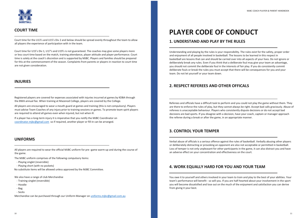

#### **COURT TIME**

Court time for the U13's and U15's Div 2 and below should be spread evenly throughout the team to allow all players the experience of participation with in the team.

Court time for U15's Div 1, U17's and U19's is not guaranteed. The coaches may give some players more or less court time based on the match, training attendance, player attitude and player performance. Court time is solely at the coach's discretion and is supported by MJBC. Players and families should be prepared for this at the commencement of the season. Complaints from parents or players in reaction to court time are not given consideration.

#### **INJURIES**

Registered players are covered for expenses associated with injuries incurred at games by KDBA through the BWA annual fee. When training at Mazenod College, players are covered by the College.

All players are encouraged to wear a mouth guard at games and training (this is not compulsory). Players must advise Team Coaches of any injury prior to training sessions or games. To promote team spirit players are required to attend all games even when injured, but not when ill.

If a player has a long-term injury it is imperative that you notify the MJBC Coordinator on [coordinator.mjbc@gmail.com](mailto:coordinator.mjbc@gmail.com) so if required, another player or fill-in can be arranged.

#### **UNIFORMS**

All players are required to wear the official MJBC uniform for pre -game warm-up and during the course of the game.

The MJBC uniform comprises of the following compulsory items:

- Playing singlet (reversible)
- Playing short (with no pockets)

No substitute items will be allowed unless approved by the MJBC Committee.

We also have a range of club Merchandise

- Training singlet (reversible)
- Hoodie
- Bag
- Socks

Merchandise can be purchased through our Uniform Manager on [uniforms.mjbc@gmail.com.au](mailto:uniforms.mjbc@gmail.com.au)

## **PLAYER CODE OF CONDUCT**

#### **1. UNDERSTAND AND PLAY BY THE RULES**

Understanding and playing by the rules is your responsibility. The rules exist for the safety, proper order and enjoyment of all people involved in basketball. The lessons to be learned in this respect in basketball are lessons that can and should be carried over into all aspects of your lives. Do not ignore or deliberately break any rules. Even if you think that a deliberate foul may give your team an advantage, you should not commit the deliberate foul in the interests of fair play. If you do consistently commit deliberate fouls or break the rules you must accept that there will be consequences for you and your team. Do not let yourself or your team down.

#### **2. RESPECT REFEREES AND OTHER OFFICALS**

Referees and officials have a difficult task to perform and you could not play the game without them. They are there to enforce the rules of play, but they cannot always be right. Accept bad calls graciously. Abuse of referees is unacceptable behaviour. Players who consistently dispute decisions or do not accept bad decisions are bad sports. If you disagree with a decision, have your coach, captain or manager approach the referee during a break or after the game, in an appropriate manner.

#### **3. CONTROL YOUR TEMPER**

Verbal abuse of officials is a serious offence against the rules of basketball. Verbally abusing other players or deliberately distracting or provoking an opponent are also not acceptable or permitted in basketball. Loss of temper is not only unpleasant for other participants in the game, it can also distract you and have an adverse effect on your concentration and effectiveness on the court.

#### **4. WORK EQUALLY HARD FOR YOU AND YOUR TEAM**

You owe it to yourself and others involved in your team to train and play to the best of your abilities. Your team's performance will benefit - so will you. If you are half-hearted about your involvement in the sport you will become dissatisfied and lose out on the much of the enjoyment and satisfaction you can derive from giving it your best.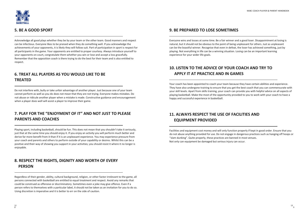

#### **5. BE A GOOD SPORT**

Acknowledge all good plays whether they be by your team or the other team. Good manners and respect can be infectious. Everyone likes to be praised when they do something well. If you acknowledge the achievements of your opponents, it is likely they will follow suit. Part of participation in sport is respect for all participants in the game. Your opponents are entitled to proper courtesy. Always introduce yourself to your opponents on court, congratulate them whether you win or lose and accept a loss gracefully. Remember that the opposition coach is there trying to do the best for their team and is also entitled to respect.

#### **6. TREAT ALL PLAYERS AS YOU WOULD LIKE TO BE TREATED**

Do not interfere with, bully or take unfair advantage of another player. Just because one of your team cannot perform as well as you do does not mean that they are not trying. Everyone makes mistakes. Do not abuse or ridicule another player when a mistake is made. Constructive guidance and encouragement when a player does well will assist a player to improve their game.

#### **7. PLAY FOR THE "ENJOYMENT OF IT" AND NOT JUST TO PLEASE PARENTS AND COACHES**

Playing sport, including basketball, should be fun. This does not mean that you shouldn't take it seriously, just that at the same time you should enjoy it. If you enjoy an activity you will perform much better and derive far more benefit from it than if it is an unpleasant experience. You may experience pressure from your coach and parents and others to perform outside of your capability or desires. Whilst this can be a positive and their way of showing you support in your activities; you should resist it where it no longer is enjoyable.

#### **8. RESPECT THE RIGHTS, DIGNITY AND WORTH OF EVERY PERSON**

Regardless of their gender, ability, cultural background, religion, or other factor irrelevant to the game, all persons connected with basketball are entitled to equal treatment and respect. Avoid any remarks that could be construed as offensive or discriminatory. Sometimes even a joke may give offence. Even if a person refers to themselves with a particular label, it should not be taken as an invitation for you to do so. Using discretion is imperative and it is better to err on the side of caution.

#### **9. BE PREPARED TO LOSE SOMETIMES**

Everyone wins and losses at some time. Be a fair winner and a good loser. Disappointment at losing is natural, but it should not be obvious to the point of being unpleasant for others. Just as unpleasant can be the boastful winner. Recognise that even in defeat, the loser has achieved something, just by playing. Not everything in life can be a winning situation. Losing can be an important learning experience for your wider life goals.

### **10. LISTEN TO THE ADVICE OF YOUR COACH AND TRY TO APPLY IT AT PRACTICE AND IN GAMES**

Your coach has been appointed to coach your team because they have certain abilities and experience. They have also undergone training to ensure that you get the best coach that you can commensurate with your skill levels. Apart from skills training, your coach can provide you with helpful advice on all aspects of playing basketball. Make the most of the opportunity provided to you to work with your coach to have a happy and successful experience in basketball.

### **11. ALWAYS RESPECT THE USE OF FACILITIES AND EQUIPMENT PROVIDED**

Facilities and equipment cost money and will only function properly if kept in good order. Ensure that you do not abuse anything provided for use. Do not engage in dangerous practices such as hanging off hoops or "slam dunking". Quite properly, these practices are banned in most venues. Not only can equipment be damaged but serious injury can occur.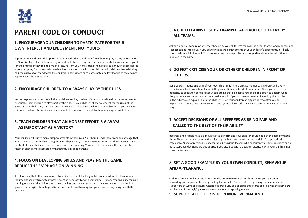

### **PARENT CODE OF CONDUCT**

#### **1. ENCOURAGE YOUR CHILDREN TO PARTICIPATE FOR THEIR OWN INTEREST AND ENJOYMENT, NOT YOURS**

Support your children in their participation in basketball but do not force them to play if they do not want to. Sport is played by children for enjoyment and fitness. It is good for their bodies but should also be good for their minds. If they feel too much pressure from you it may make them rebellious or even depressed. It is very tempting for parents who are involved in a sport, or who have children with abilities they wish they had themselves to try and force the children to participate or to participate at a level to which they do not aspire. Resist the temptation.

#### **2. ENCOURAGE CHILDREN TO ALWAYS PLAY BY THE RULES**

Just as responsible parents teach their children to obey the law of the land, so should those same parents encourage their children to play sport by the rules. If your children show no respect for the rules of the game of basketball, they can also come to believe that breaking the law is acceptable too. If you see your children constantly breaching rules you should be prepared to speak to them at an appropriate time.

#### **3. TEACH CHILDREN THAT AN HONEST EFFORT IS ALWAYS AS IMPORTANT AS A VICTORY**

Your children will suffer many disappointments in their lives. You should teach them from an early age that whilst a win in basketball will bring them much pleasure, it is not the most important thing. Participating to the best of their abilities is far more important than winning. You can help them learn this, so that the result of each game is accepted without undue disappointment.

#### **4. FOCUS ON DEVELOPING SKILLS AND PLAYING THE GAME REDUCE THE EMPHASIS ON WINNING**

If children see that effort is rewarded by an increase in skills, they will derive considerable pleasure and see the importance of striving to improve over the necessity to win every game. Primary responsibility for skills training rests with the children and their coaches but you can assist with their enthusiasm by attending games, encouraging them to practise away from formal training and games and even joining in with this practice.

#### **5.A CHILD LEARNS BEST BY EXAMPLE. APPLAUD GOOD PLAY BY ALL TEAMS.**

Acknowledge all good plays whether they be by your children's team or the other team. Good manners and respect can be infectious. If you acknowledge the achievements of your children's opponents, it is likely your children will follow suit. This can assist to create a positive and supportive climate for all children involved in the game.

#### **6.DO NOT CRITICISE YOUR OR OTHERS' CHILDREN IN FRONT OF OTHERS.**

Reserve constructive criticism of your own children for more private moments. Children can be very sensitive and feel strong humiliation if they are criticised in front of their peers. When you do feel the necessity to speak to your child about something that displeases you, make the effort to explain what the problem is and why you are concerned about it. If you can see some way of avoiding the problem in the future, also explain this to the children. Give your children an opportunity to offer you an explanation. You are not communicating with your children effectively if all the communication is one way.

#### **7.ACCEPT DECISIONS OF ALL REFEREES AS BEING FAIR AND CALLED TO THE BEST OF THEIR ABILITY**

Referees and officials have a difficult task to perform and your children could not play the game without them. They are there to enforce the rules of play, but they cannot always be right. Accept bad calls graciously. Abuse of referees is unacceptable behaviour. Players who consistently dispute decisions or do not accept bad decisions are bad sports. If you disagree with a decision, discuss it with your children in a constructive manner.

#### **8. SET A GOOD EXAMPLE BY YOUR OWN CONDUCT, BEHAVIOUR AND APPEARANCE**

Children often learn by example. You are the prime role models for them. Make your parenting rewarding and beyond criticism by leading by example. Do not criticise opposing team members or supporters by word or gesture. Accept loss graciously and applaud the efforts of all playing the game. Do not be one of the "ugly" parents occasionally seen at sporting events.

#### **9. SUPPORT ALL EFFORTS TO REMOVE VERBAL AND**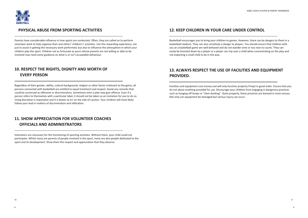

#### **PHYSICAL ABUSE FROM SPORTING ACTIVITIES**

Parents have considerable influence in how sports are conducted. Often, they are called on to perform volunteer work to help organise their and others' children's' activities. Use this rewarding experience, not just to assist in getting the necessary work performed, but also to influence the atmosphere in which your children play the sport. Children not as fortunate as yours whose parents are not willing or able to be involved may need some guidance on what is or isn't acceptable behaviour.

#### **10. RESPECT THE RIGHTS, DIGNITY AND WORTH OF EVERY PERSON**

Regardless of their gender, ability, cultural background, religion or other factor irrelevant to the game, all persons connected with basketball are entitled to equal treatment and respect. Avoid any remarks that could be construed as offensive or discriminatory. Sometimes even a joke may give offence. Even if a person refers to themselves with a particular label, it should not be taken as an invitation for you to do so. Using discretion is imperative and it is better to err on the side of caution. Your children will most likely follow your lead in matters of discrimination and vilification.

#### **11. SHOW APPRECIATION FOR VOLUNTEER COACHES OFFICIALS AND ADMINISTRATORS**

Volunteers are necessary for the functioning of sporting activities. Without them, your child could not participate. Whilst many are parents of people involved in the sport, many are also people dedicated to the sport and its development. Show them the respect and appreciation that they deserve.

#### **12. KEEP CHILDREN IN YOUR CARE UNDER CONTROL**

Basketball encourages you to bring your children to games. However, there can be dangers to them in a basketball stadium. They can also constitute a danger to players. You should ensure that children with you at a basketball game are well behaved and do not wander onto or too near to courts. They can easily be knocked down by a player or a player can trip over a child when concentrating on the play and not expecting a small child to be in the way.

#### **13. ALWAYS RESPECT THE USE OF FACILITIES AND EQUIPMENT PROVIDED.**

Facilities and equipment cost money and will only function properly if kept in good order. Ensure that you do not abuse anything provided for use. Discourage your children from engaging in dangerous practices such as hanging off hoops or "slam dunking". Quite properly, these practices are banned in most venues. Not only can equipment be damaged but serious injury can occur.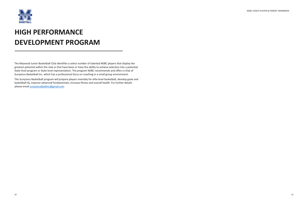The Mazenod Junior Basketball Club identifies a select number of talented MJBC players that display the greatest potential within the club or that have been or have the ability to achieve selection into a potential State level program or State level representation. The program MJBC recommends and offers is that of Scorpions Basketball Inc. which has a professional focus on coaching in a small group environment.

The Scorpions Basketball program will prepare players mentally for elite level basketball, develop goals and basketball IQ, improve advanced fundamentals, increase fitness and overall health. For further details please email [scorpionsbballinc@gmail.com](mailto:scorpionsbballinc@gmail.com)



### **HIGH PERFORMANCE DEVELOPMENT PROGRAM**